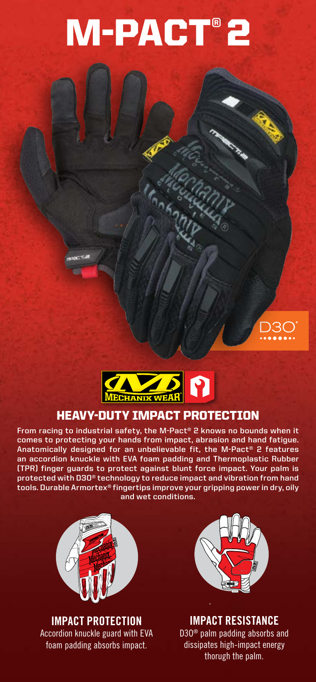# M-PACT® 2





### HEAVY-DUTY IMPACT PROTECTION

**From racing to industrial safety, the M-Pact® 2 knows no bounds when it comes to protecting your hands from impact, abrasion and hand fatigue. Anatomically designed for an unbelievable fit, the M-Pact® 2 features an accordion knuckle with EVA foam padding and Thermoplastic Rubber (TPR) finger guards to protect against blunt force impact. Your palm is protected with D3O® technology to reduce impact and vibration from hand tools. Durable Armortex® fingertips improve your gripping power in dry, oily and wet conditions.**



**IMPACT PROTECTION** Accordion knuckle guard with EVA foam padding absorbs impact.



**IMPACT RESISTANCE** D3O® palm padding absorbs and dissipates high-impact energy thorugh the palm.